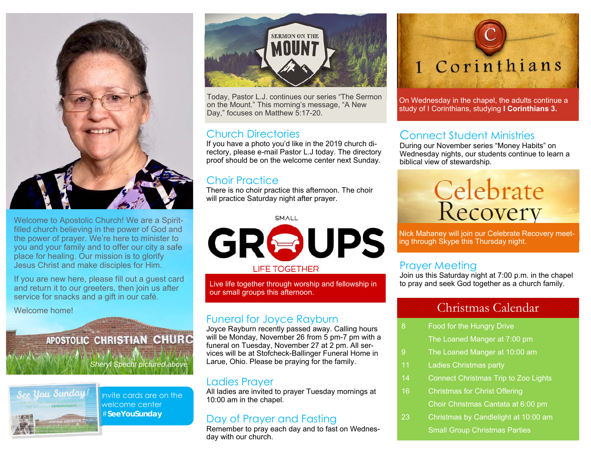

Welcome to Apostolic Church! We are a Spiritfilled church believing in the power of God and the power of prayer. We're here to minister to you and your family and to offer our city a safe place for healing. Our mission is to glorify Jesus Christ and make disciples for Him.

If you are new here, please fill out a guest card and return it to our greeters, then join us after service for snacks and a gift in our café.

Welcome home!

## APOSTOLIC CHRISTIAN CHURC

*Sheryl Specht pictured above* 



Invite cards are on the welcome center #**SeeYouSunday** 



Today, Pastor L.J. continues our series "The Sermon on the Mount." This morning's message, "A New Day," focuses on Matthew 5:17-20.

#### Church Directories

If you have a photo you'd like in the 2019 church directory, please e-mail Pastor L.J today. The directory proof should be on the welcome center next Sunday.

#### Choir Practice

There is no choir practice this afternoon. The choir will practice Saturday night after prayer.

SMALL



Live life together through worship and fellowship in our small groups this afternoon.

#### Funeral for Joyce Rayburn

Joyce Rayburn recently passed away. Calling hours will be Monday, November 26 from 5 pm-7 pm with a funeral on Tuesday, November 27 at 2 pm. All services will be at Stofcheck-Ballinger Funeral Home in Larue, Ohio. Please be praying for the family.

#### Ladies Prayer

All ladies are invited to prayer Tuesday mornings at 10:00 am in the chapel.

#### Day of Prayer and Fasting

Remember to pray each day and to fast on Wednesday with our church.



On Wednesday in the chapel, the adults continue a study of I Corinthians, studying **I Corinthians 3.**

#### Connect Student Ministries

During our November series "Money Habits" on Wednesday nights, our students continue to learn a biblical view of stewardship.

# Celebrate<br>Recovery

Nick Mahaney will join our Celebrate Recovery meeting through Skype this Thursday night.

#### Prayer Meeting

Join us this Saturday night at 7:00 p.m. in the chapel to pray and seek God together as a church family.

#### Christmas Calendar

- 8 Food for the Hungry Drive The Loaned Manger at 7:00 pm
- 9 The Loaned Manger at 10:00 am
- 11 Ladies Christmas party
- 14 Connect Christmas Trip to Zoo Lights
- 16 Christmas for Christ Offering Choir Christmas Cantata at 6:00 pm
- 23 Christmas by Candlelight at 10:00 am Small Group Christmas Parties